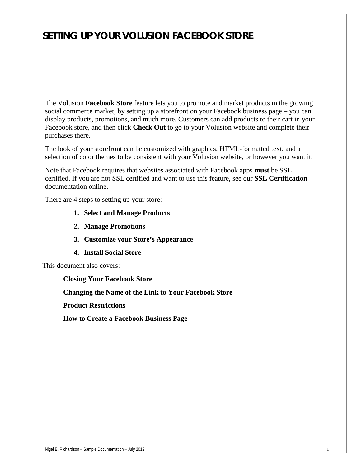# *SETTING UP YOUR VOLUSION FACEBOOK STORE*

The Volusion **Facebook Store** feature lets you to promote and market products in the growing social commerce market, by setting up a storefront on your Facebook business page – you can display products, promotions, and much more. Customers can add products to their cart in your Facebook store, and then click **Check Out** to go to your Volusion website and complete their purchases there.

The look of your storefront can be customized with graphics, HTML-formatted text, and a selection of color themes to be consistent with your Volusion website, or however you want it.

Note that Facebook requires that websites associated with Facebook apps **must** be SSL certified. If you are not SSL certified and want to use this feature, see our **SSL Certification**  documentation online.

There are 4 steps to setting up your store:

- **1. Select and Manage Products**
- **2. Manage Promotions**
- **3. Customize your Store's Appearance**
- **4. Install Social Store**

This document also covers:

**Closing Your Facebook Store**

**Changing the Name of the Link to Your Facebook Store**

**Product Restrictions**

**How to Create a Facebook Business Page**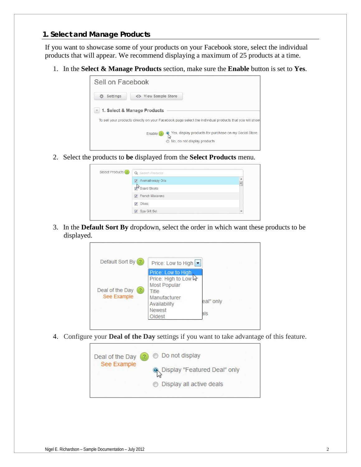### *1. Select and Manage Products*

If you want to showcase some of your products on your Facebook store, select the individual products that will appear. We recommend displaying a maximum of 25 products at a time.

1. In the **Select & Manage Products** section, make sure the **Enable** button is set to **Yes**.

| Sell on Facebook |                                                                                                           |
|------------------|-----------------------------------------------------------------------------------------------------------|
| <b>Settings</b>  | <b>View Sample Store</b>                                                                                  |
| $\mathbf v$      | 1. Select & Manage Products                                                                               |
|                  | To sell your products directly on your Facebook page select the individual products that you will show    |
|                  | Yes, display products for purchase on my Social Store<br>Q<br>Enable $(2)$<br>No. do not display products |

2. Select the products to **be** displayed from the **Select Products** menu.

| Select Products (?) | Q Search Products        |        |
|---------------------|--------------------------|--------|
|                     | 7 Aromatherapy Oils      | ▴<br>Ξ |
|                     | Board Shorts             |        |
|                     | <b>V</b> French Macarons |        |
|                     | Olives<br>$\overline{v}$ |        |
|                     | <b>V</b> Spa Gift Set    |        |

3. In the **Default Sort By** dropdown, select the order in which want these products to be displayed.

| Default Sort By (?)            | Price: Low to High $\vert \bullet \vert$                                                                                |                  |
|--------------------------------|-------------------------------------------------------------------------------------------------------------------------|------------------|
| Deal of the Day<br>See Example | Price: Low to High<br>Price: High to Low W<br>Most Popular<br>Title<br>Manufacturer<br>Availability<br>Newest<br>Oldest | eal" only<br>als |

4. Configure your **Deal of the Day** settings if you want to take advantage of this feature.

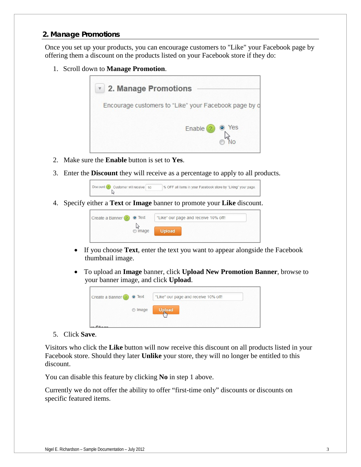## *2. Manage Promotions*

Once you set up your products, you can encourage customers to "Like" your Facebook page by offering them a discount on the products listed on your Facebook store if they do:

1. Scroll down to **Manage Promotion**.



- 2. Make sure the **Enable** button is set to **Yes**.
- 3. Enter the **Discount** they will receive as a percentage to apply to all products.



4. Specify either a **Text** or **Image** banner to promote your **Like** discount.



- If you choose **Text**, enter the text you want to appear alongside the Facebook thumbnail image.
- To upload an **Image** banner, click **Upload New Promotion Banner**, browse to your banner image, and click **Upload**.



5. Click **Save**.

Visitors who click the **Like** button will now receive this discount on all products listed in your Facebook store. Should they later **Unlike** your store, they will no longer be entitled to this discount.

You can disable this feature by clicking **No** in step 1 above.

Currently we do not offer the ability to offer "first-time only" discounts or discounts on specific featured items.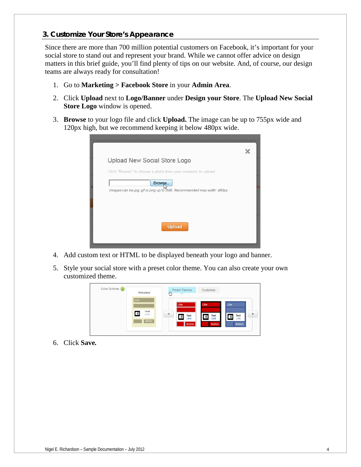# *3. Customize Your Store's Appearance*

Since there are more than 700 million potential customers on Facebook, it's important for your social store to stand out and represent your brand. While we cannot offer advice on design matters in this brief guide, you'll find plenty of tips on our website. And, of course, our design teams are always ready for consultation!

- 1. Go to **Marketing > Facebook Store** in your **Admin Area**.
- 2. Click **Upload** next to **Logo/Banner** under **Design your Store**. The **Upload New Social Store Logo** window is opened.
- 3. **Browse** to your logo file and click **Upload.** The image can be up to 755px wide and 120px high, but we recommend keeping it below 480px wide.

| Upload New Social Store Logo                                                     |  |
|----------------------------------------------------------------------------------|--|
| Click "Browse" to choose a photo from your computer to upload                    |  |
| Browse<br>Images can be jpg, gif or png up to 2MB. Recommended max width: 480px. |  |
|                                                                                  |  |
|                                                                                  |  |
|                                                                                  |  |
| Upload                                                                           |  |
|                                                                                  |  |

- 4. Add custom text or HTML to be displayed beneath your logo and banner.
- 5. Style your social store with a preset color theme. You can also create your own customized theme.



6. Click **Save***.*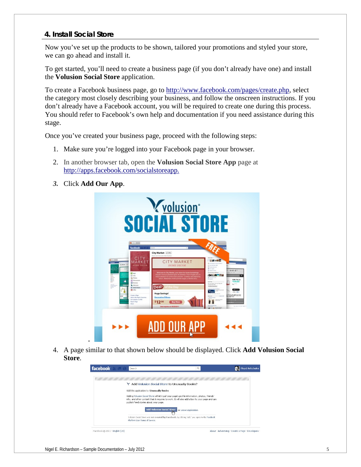#### *4. Install Social Store*

Now you've set up the products to be shown, tailored your promotions and styled your store, we can go ahead and install it.

To get started, you'll need to create a business page (if you don't already have one) and install the **Volusion Social Store** application.

To create a Facebook business page, go to [http://www.facebook.com/pages/create.php,](http://www.facebook.com/pages/create.php) select the category most closely describing your business, and follow the onscreen instructions. If you don't already have a Facebook account, you will be required to create one during this process. You should refer to Facebook's own help and documentation if you need assistance during this stage.

Once you've created your business page, proceed with the following steps:

- 1. Make sure you're logged into your Facebook page in your browser.
- 2. In another browser tab, open the **Volusion Social Store App** page at [http://apps.facebook.com/socialstoreapp.](http://apps.facebook.com/socialstoreapp)
- *3.* Click **Add Our App**.



4. A page similar to that shown below should be displayed. Click **Add Volusion Social Store**.

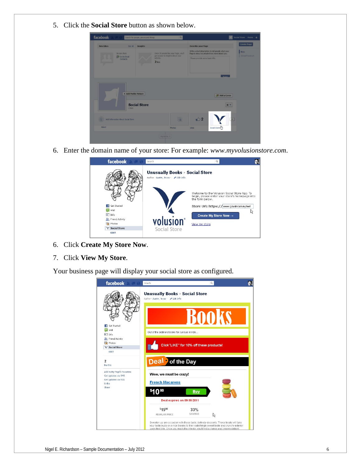5. Click the **Social Store** button as shown below.

| <b>New Likes</b> | See All                            | Insights            |                                                                            | <b>Describe your Page</b>                                                                          | <b>Create Page</b>      |
|------------------|------------------------------------|---------------------|----------------------------------------------------------------------------|----------------------------------------------------------------------------------------------------|-------------------------|
|                  | No new likes                       |                     | Once 30 people like your Page, you'll<br>get access to insights about your | Write a short description to tell people what your<br>Page is about so people know more about you. | Now.<br>Joined Facebook |
|                  | <b>EQ</b> Invite Email<br>Contacts |                     | activity.<br>$2$ likes                                                     | Please provide some basic info.                                                                    |                         |
|                  |                                    |                     |                                                                            |                                                                                                    |                         |
|                  | + Add Profile Picture              |                     |                                                                            |                                                                                                    |                         |
|                  |                                    |                     |                                                                            | Add a Cover                                                                                        |                         |
|                  | 2 lices                            | <b>Social Store</b> |                                                                            |                                                                                                    | * *                     |
|                  | Add Information About Social Store |                     | 面                                                                          | 72                                                                                                 |                         |

6. Enter the domain name of your store: For example: *www.myvolusionstore.com*.



- 6. Click **Create My Store Now**.
- 7. Click **View My Store**.

Your business page will display your social store as configured.

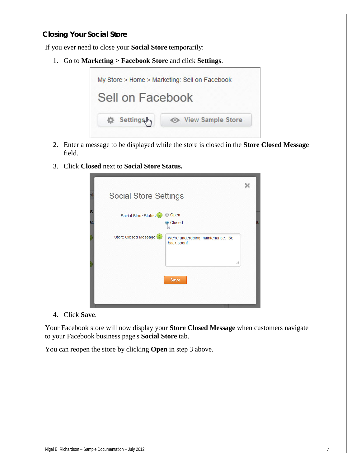# *Closing Your Social Store*

If you ever need to close your **Social Store** temporarily:

1. Go to **Marketing > Facebook Store** and click **Settings**.



- 2. Enter a message to be displayed while the store is closed in the **Store Closed Message** field.
- 3. Click **Closed** next to **Social Store Status***.*

|                |                                  |                                                | × |
|----------------|----------------------------------|------------------------------------------------|---|
|                | <b>Social Store Settings</b>     |                                                |   |
| S<br><b>ac</b> | Social Store Status <sup>2</sup> | Open<br>$\circ$<br>Closed                      |   |
|                | Store Closed Message (2)         | We're undergoing maintenance. Be<br>back soon! |   |
|                |                                  | a.                                             |   |
|                |                                  | Save                                           |   |
|                |                                  |                                                |   |

4. Click **Save**.

Your Facebook store will now display your **Store Closed Message** when customers navigate to your Facebook business page's **Social Store** tab.

You can reopen the store by clicking **Open** in step 3 above.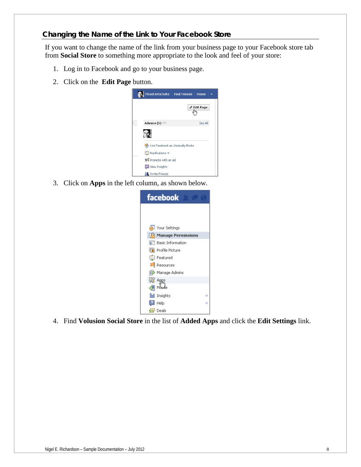If you want to change the name of the link from your business page to your Facebook store tab from **Social Store** to something more appropriate to the look and feel of your store:

- 1. Log in to Facebook and go to your business page.
- 2. Click on the **Edit Page** button.



3. Click on **Apps** in the left column, as shown below.



4. Find **Volusion Social Store** in the list of **Added Apps** and click the **Edit Settings** link.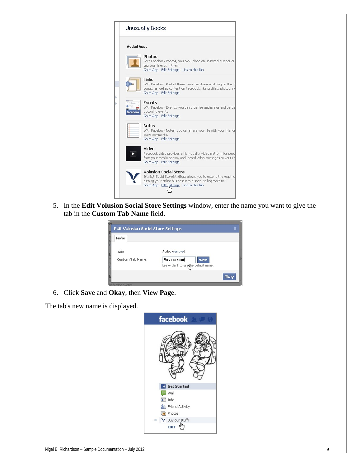

5. In the **Edit Volusion Social Store Settings** window, enter the name you want to give the tab in the **Custom Tab Name** field.

| Edit Volusion Social Store Settings |                                                                                         | ₽    |
|-------------------------------------|-----------------------------------------------------------------------------------------|------|
| Profile                             |                                                                                         |      |
| Tab:<br><b>Custom Tab Name:</b>     | Added (remove)<br>Buy our stuff!<br><b>Save</b><br>Leave blank to use the default name. |      |
|                                     |                                                                                         | Okay |

6. Click **Save** and **Okay**, then **View Page**.

The tab's new name is displayed.

| facebook                      |
|-------------------------------|
|                               |
| <b>Get Started</b><br>H       |
| Wall<br>6699                  |
| $\Box$ Info                   |
| &R Friend Activity            |
| <b>Photos</b>                 |
| Y Buy our stuff!<br>$\propto$ |
| EDIT                          |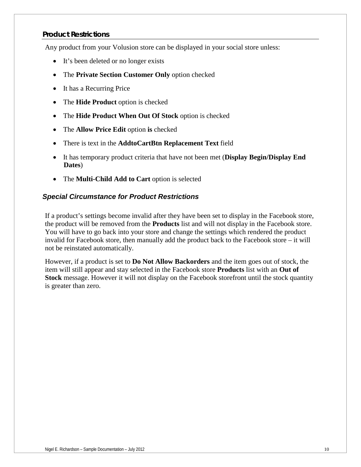## *Product Restrictions*

Any product from your Volusion store can be displayed in your social store unless:

- It's been deleted or no longer exists
- The **Private Section Customer Only** option checked
- It has a Recurring Price
- The **Hide Product** option is checked
- The **Hide Product When Out Of Stock** option is checked
- The **Allow Price Edit** option **is** checked
- There is text in the **AddtoCartBtn Replacement Text** field
- It has temporary product criteria that have not been met (**Display Begin/Display End Dates**)
- The **Multi-Child Add to Cart** option is selected

## *Special Circumstance for Product Restrictions*

If a product's settings become invalid after they have been set to display in the Facebook store, the product will be removed from the **Products** list and will not display in the Facebook store. You will have to go back into your store and change the settings which rendered the product invalid for Facebook store, then manually add the product back to the Facebook store – it will not be reinstated automatically.

However, if a product is set to **Do Not Allow Backorders** and the item goes out of stock, the item will still appear and stay selected in the Facebook store **Products** list with an **Out of Stock** message. However it will not display on the Facebook storefront until the stock quantity is greater than zero.